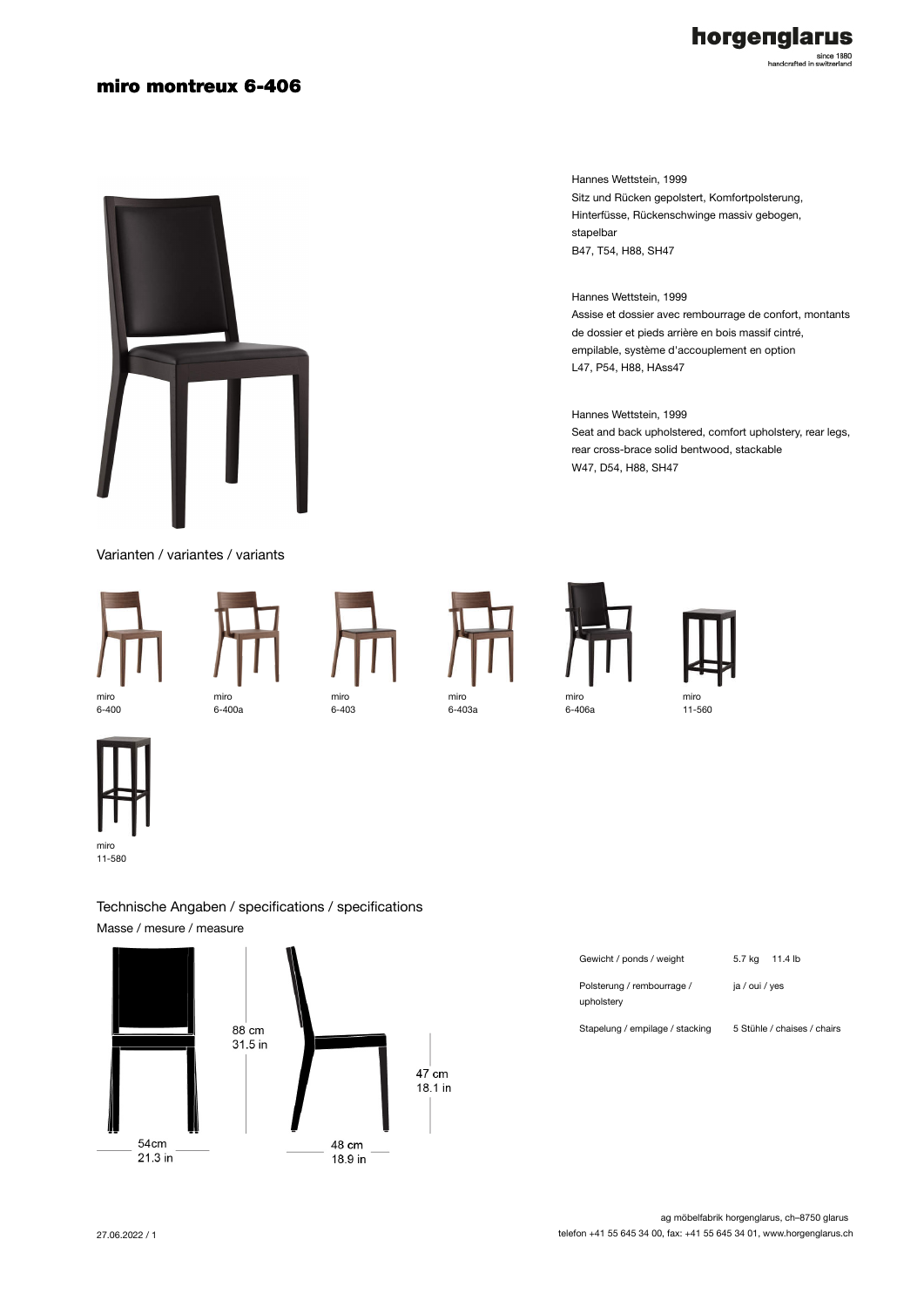### miro montreux 6-406



Varianten / variantes / variants



6-400













11-580

Masse / mesure / measure

Technische Angaben / specifications / specifications



| Gewicht / ponds / weight                 | 5.7 kg 11.4 lb              |
|------------------------------------------|-----------------------------|
| Polsterung / rembourrage /<br>upholstery | ja / oui / yes              |
| Stapelung / empilage / stacking          | 5 Stühle / chaises / chairs |

### Hannes Wettstein, 1999 Sitz und Rücken gepolstert, Komfortpolsterung, Hinterfüsse, Rückenschwinge massiv gebogen, stapelbar B47, T54, H88, SH47

#### Hannes Wettstein, 1999 Assise et dossier avec rembourrage de confort, montants de dossier et pieds arrière en bois massif cintré, empilable, système d'accouplement en option L47, P54, H88, HAss47

Hannes Wettstein, 1999 Seat and back upholstered, comfort upholstery, rear legs, rear cross-brace solid bentwood, stackable W47, D54, H88, SH47

| Gewicht / ponds / weight                 | 5.7 kg 11.4 lb |
|------------------------------------------|----------------|
| Polsterung / rembourrage /<br>upholstery | ja / oui / yes |
| .                                        |                |

horgenglarus since 1880<br>handcrafted in switzerland